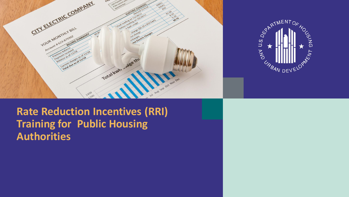



**Rate Reduction Incentives (RRI) Training for Public Housing Authorities**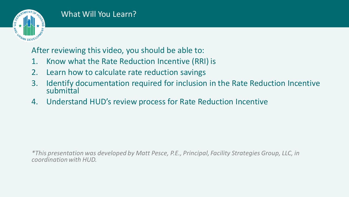

After reviewing this video, you should be able to:

- 1. Know what the Rate Reduction Incentive (RRI) is
- 2. Learn how to calculate rate reduction savings
- 3. Identify documentation required for inclusion in the Rate Reduction Incentive submittal
- 4. Understand HUD's review process for Rate Reduction Incentive

*\*This presentation was developed by Matt Pesce, P.E., Principal, Facility Strategies Group, LLC, in coordination with HUD.*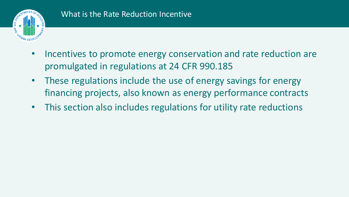

- Incentives to promote energy conservation and rate reduction are promulgated in regulations at 24 CFR 990.185
- These regulations include the use of energy savings for energy financing projects, also known as energy performance contracts
- This section also includes regulations for utility rate reductions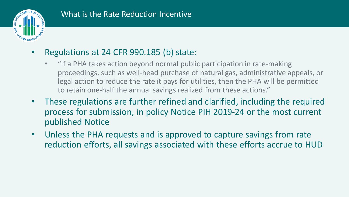

## • Regulations at 24 CFR 990.185 (b) state:

- "If a PHA takes action beyond normal public participation in rate-making proceedings, such as well-head purchase of natural gas, administrative appeals, or legal action to reduce the rate it pays for utilities, then the PHA will be permitted to retain one-half the annual savings realized from these actions."
- These regulations are further refined and clarified, including the required process for submission, in policy Notice PIH 2019-24 or the most current published Notice
- Unless the PHA requests and is approved to capture savings from rate reduction efforts, all savings associated with these efforts accrue to HUD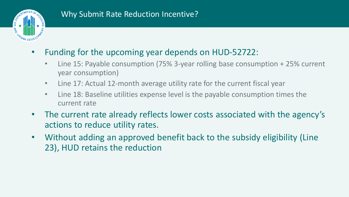

- Funding for the upcoming year depends on HUD-52722:
	- Line 15: Payable consumption (75% 3-year rolling base consumption + 25% current year consumption)
	- Line 17: Actual 12-month average utility rate for the current fiscal year
	- Line 18: Baseline utilities expense level is the payable consumption times the current rate
- The current rate already reflects lower costs associated with the agency's actions to reduce utility rates.
- Without adding an approved benefit back to the subsidy eligibility (Line 23), HUD retains the reduction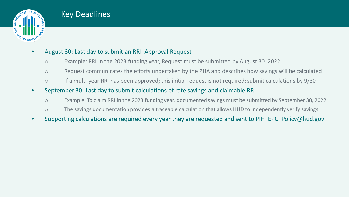

#### Key Deadlines

#### • August 30: Last day to submit an RRI Approval Request

- o Example: RRI in the 2023 funding year, Request must be submitted by August 30, 2022.
- o Request communicates the efforts undertaken by the PHA and describes how savings will be calculated
- o If a multi-year RRI has been approved; this initial request is not required; submit calculations by 9/30
- September 30: Last day to submit calculations of rate savings and claimable RRI
	- o Example: To claim RRI in the 2023 funding year, documented savings must be submitted by September 30, 2022.
	- o The savings documentation provides a traceable calculation that allows HUD to independently verify savings
- Supporting calculations are required every year they are requested and sent to PIH\_EPC\_Policy@hud.gov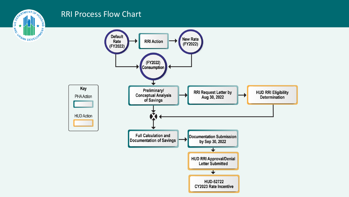

#### RRI Process Flow Chart

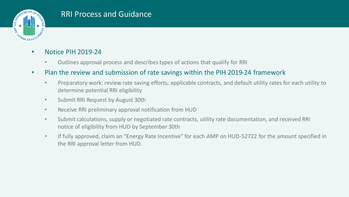

#### RRI Process and Guidance

#### • Notice PIH 2019-24

- Outlines approval process and describes types of actions that qualify for RRI
- Plan the review and submission of rate savings within the PIH 2019-24 framework
	- Preparatory work: review rate saving efforts, applicable contracts, and default utility rates for each utility to determine potential RRI eligibility
	- Submit RRI Request by August 30th
	- Receive RRI preliminary approval notification from HUD
	- Submit calculations, supply or negotiated rate contracts, utility rate documentation, and received RRI notice of eligibility from HUD by September 30th
	- If fully approved, claim an "Energy Rate Incentive" for each AMP on HUD-52722 for the amount specified in the RRI approval letter from HUD.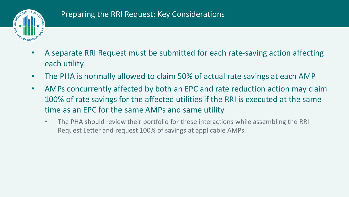

- A separate RRI Request must be submitted for each rate-saving action affecting each utility
- The PHA is normally allowed to claim 50% of actual rate savings at each AMP
- AMPs concurrently affected by both an EPC and rate reduction action may claim 100% of rate savings for the affected utilities if the RRI is executed at the same time as an EPC for the same AMPs and same utility
	- The PHA should review their portfolio for these interactions while assembling the RRI Request Letter and request 100% of savings at applicable AMPs.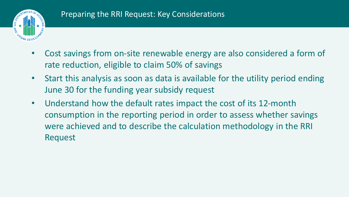

- Cost savings from on-site renewable energy are also considered a form of rate reduction, eligible to claim 50% of savings
- Start this analysis as soon as data is available for the utility period ending June 30 for the funding year subsidy request
- Understand how the default rates impact the cost of its 12-month consumption in the reporting period in order to assess whether savings were achieved and to describe the calculation methodology in the RRI Request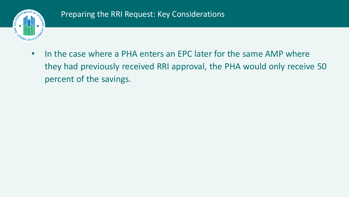

• In the case where a PHA enters an EPC later for the same AMP where they had previously received RRI approval, the PHA would only receive 50 percent of the savings.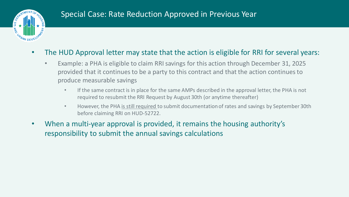

- The HUD Approval letter may state that the action is eligible for RRI for several years:
	- Example: a PHA is eligible to claim RRI savings for this action through December 31, 2025 provided that it continues to be a party to this contract and that the action continues to produce measurable savings
		- If the same contract is in place for the same AMPs described in the approval letter, the PHA is not required to resubmit the RRI Request by August 30th (or anytime thereafter)
		- However, the PHA is still required to submit documentation of rates and savings by September 30th before claiming RRI on HUD-52722.
- When a multi-year approval is provided, it remains the housing authority's responsibility to submit the annual savings calculations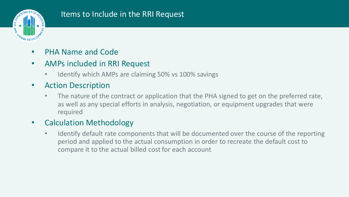

### Items to Include in the RRI Request

- PHA Name and Code
- AMPs included in RRI Request
	- Identify which AMPs are claiming 50% vs 100% savings
- Action Description
	- The nature of the contract or application that the PHA signed to get on the preferred rate, as well as any special efforts in analysis, negotiation, or equipment upgrades that were required
- Calculation Methodology
	- Identify default rate components that will be documented over the course of the reporting period and applied to the actual consumption in order to recreate the default cost to compare it to the actual billed cost for each account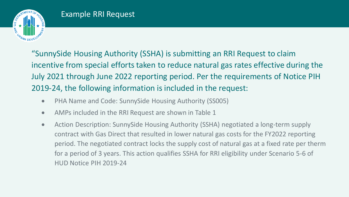

"SunnySide Housing Authority (SSHA) is submitting an RRI Request to claim incentive from special efforts taken to reduce natural gas rates effective during the July 2021 through June 2022 reporting period. Per the requirements of Notice PIH 2019-24, the following information is included in the request:

- PHA Name and Code: SunnySide Housing Authority (SS005)
- AMPs included in the RRI Request are shown in Table 1
- Action Description: SunnySide Housing Authority (SSHA) negotiated a long-term supply contract with Gas Direct that resulted in lower natural gas costs for the FY2022 reporting period. The negotiated contract locks the supply cost of natural gas at a fixed rate per therm for a period of 3 years. This action qualifies SSHA for RRI eligibility under Scenario 5-6 of HUD Notice PIH 2019-24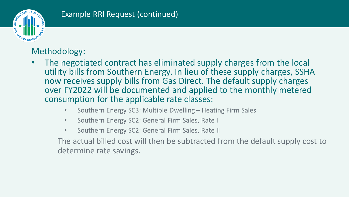

## Methodology:

- The negotiated contract has eliminated supply charges from the local utility bills from Southern Energy. In lieu of these supply charges, SSHA now receives supply bills from Gas Direct. The default supply charges over FY2022 will be documented and applied to the monthly metered consumption for the applicable rate classes:
	- Southern Energy SC3: Multiple Dwelling Heating Firm Sales
	- Southern Energy SC2: General Firm Sales, Rate I
	- Southern Energy SC2: General Firm Sales, Rate II

The actual billed cost will then be subtracted from the default supply cost to determine rate savings.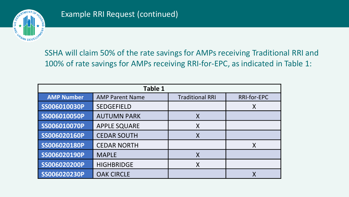

SSHA will claim 50% of the rate savings for AMPs receiving Traditional RRI and 100% of rate savings for AMPs receiving RRI-for-EPC, as indicated in Table 1:

| <b>Table 1</b>    |                        |                        |                    |  |  |  |  |  |  |  |  |
|-------------------|------------------------|------------------------|--------------------|--|--|--|--|--|--|--|--|
| <b>AMP Number</b> | <b>AMP Parent Name</b> | <b>Traditional RRI</b> | <b>RRI-for-EPC</b> |  |  |  |  |  |  |  |  |
| SS006010030P      | <b>SEDGEFIELD</b>      |                        | X                  |  |  |  |  |  |  |  |  |
| SS006010050P      | <b>AUTUMN PARK</b>     | $\sf{X}$               |                    |  |  |  |  |  |  |  |  |
| SS006010070P      | <b>APPLE SQUARE</b>    | X                      |                    |  |  |  |  |  |  |  |  |
| SS006020160P      | <b>CEDAR SOUTH</b>     |                        |                    |  |  |  |  |  |  |  |  |
| SS006020180P      | <b>CEDAR NORTH</b>     |                        | X                  |  |  |  |  |  |  |  |  |
| SS006020190P      | <b>MAPLE</b>           |                        |                    |  |  |  |  |  |  |  |  |
| SS006020200P      | <b>HIGHBRIDGE</b>      | X                      |                    |  |  |  |  |  |  |  |  |
| SS006020230P      | <b>OAK CIRCLE</b>      |                        |                    |  |  |  |  |  |  |  |  |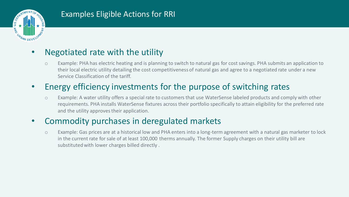

### Examples Eligible Actions for RRI

### • Negotiated rate with the utility

o Example: PHA has electric heating and is planning to switch to natural gas for cost savings. PHA submits an application to their local electric utility detailing the cost competitiveness of natural gas and agree to a negotiated rate under a new Service Classification of the tariff.

## • Energy efficiency investments for the purpose of switching rates

o Example: A water utility offers a special rate to customers that use WaterSense labeled products and comply with other requirements. PHA installs WaterSense fixtures across their portfolio specifically to attain eligibility for the preferred rate and the utility approves their application.

### • Commodity purchases in deregulated markets

o Example: Gas prices are at a historical low and PHA enters into a long-term agreement with a natural gas marketer to lock in the current rate for sale of at least 100,000 therms annually. The former Supply charges on their utility bill are substituted with lower charges billed directly .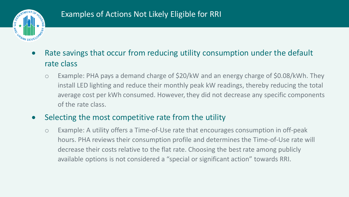

- Rate savings that occur from reducing utility consumption under the default rate class
	- o Example: PHA pays a demand charge of \$20/kW and an energy charge of \$0.08/kWh. They install LED lighting and reduce their monthly peak kW readings, thereby reducing the total average cost per kWh consumed. However, they did not decrease any specific components of the rate class.

### • Selecting the most competitive rate from the utility

o Example: A utility offers a Time-of-Use rate that encourages consumption in off-peak hours. PHA reviews their consumption profile and determines the Time-of-Use rate will decrease their costs relative to the flat rate. Choosing the best rate among publicly available options is not considered a "special or significant action" towards RRI.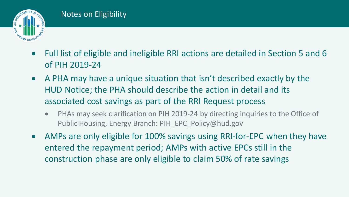

- Full list of eligible and ineligible RRI actions are detailed in Section 5 and 6 of PIH 2019-24
- A PHA may have a unique situation that isn't described exactly by the HUD Notice; the PHA should describe the action in detail and its associated cost savings as part of the RRI Request process
	- PHAs may seek clarification on PIH 2019-24 by directing inquiries to the Office of Public Housing, Energy Branch: PIH\_EPC\_Policy@hud.gov
- AMPs are only eligible for 100% savings using RRI-for-EPC when they have entered the repayment period; AMPs with active EPCs still in the construction phase are only eligible to claim 50% of rate savings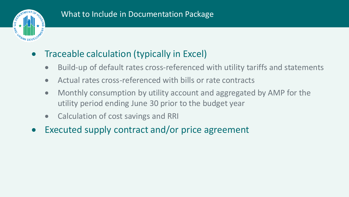

- Traceable calculation (typically in Excel)
	- Build-up of default rates cross-referenced with utility tariffs and statements
	- Actual rates cross-referenced with bills or rate contracts
	- Monthly consumption by utility account and aggregated by AMP for the utility period ending June 30 prior to the budget year
	- Calculation of cost savings and RRI
- Executed supply contract and/or price agreement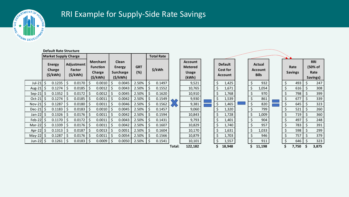

## RRI Example for Supply-Side Rate Savings

|                      | <b>Default Rate Structure</b>             |        |                                 |        |                                                                                                                  |             |                   |        |                   |     |                                                           |                       |                                              |  |    |                                          |  |    |                        |  |                                                  |       |                     |       |  |
|----------------------|-------------------------------------------|--------|---------------------------------|--------|------------------------------------------------------------------------------------------------------------------|-------------|-------------------|--------|-------------------|-----|-----------------------------------------------------------|-----------------------|----------------------------------------------|--|----|------------------------------------------|--|----|------------------------|--|--------------------------------------------------|-------|---------------------|-------|--|
|                      | <b>Market Supply Charge</b>               |        |                                 |        |                                                                                                                  |             |                   |        | <b>Total Rate</b> |     |                                                           |                       |                                              |  |    |                                          |  |    |                        |  |                                                  |       |                     |       |  |
|                      | <b>Energy</b><br>Charge<br>$($ \$/kWh $)$ |        | Adjustment<br>Factor<br>(S/KWh) |        | <b>Clean</b><br><b>Merchant</b><br><b>Function</b><br>Energy<br>Charge<br><b>Surcharge</b><br>(S/KWh)<br>(S/KWh) |             | <b>GRT</b><br>(%) | \$/kWh |                   |     | <b>Account</b><br><b>Metered</b><br><b>Usage</b><br>(kWh) |                       | <b>Default</b><br>Cost for<br><b>Account</b> |  |    | Actual<br><b>Account</b><br><b>Bills</b> |  |    | Rate<br><b>Savings</b> |  | <b>RRI</b><br>(50% of<br>Rate<br><b>Savings)</b> |       |                     |       |  |
| Jul-21               |                                           | 0.1235 | \$                              | 0.0170 |                                                                                                                  | 0.0010      | $\vert$ \$        | 0.0045 | 2.50%             | \$. | 0.1497                                                    |                       | 9,521                                        |  | \$ | 1,425                                    |  | \$ | 932                    |  | Ş                                                | 493   |                     | 247   |  |
| Aug-21               |                                           | 0.1274 | Ś                               | 0.0185 |                                                                                                                  | 0.0012      |                   | 0.0043 | 2.50%             |     | 0.1552                                                    |                       | 10,765                                       |  |    | 1,671                                    |  |    | 1,054                  |  |                                                  | 616   | $\ddot{\mathsf{S}}$ | 308   |  |
| Sep-21 $\frac{1}{2}$ |                                           | 0.1352 |                                 | 0.0172 |                                                                                                                  | 0.0012      |                   | 0.0045 | 2.50%             |     | 0.1620                                                    |                       | 10,910                                       |  |    | 1,768                                    |  |    | 970                    |  |                                                  | 798   |                     | 399   |  |
| Oct-21 $\frac{1}{2}$ |                                           | 0.1274 |                                 | 0.0185 |                                                                                                                  | 0.0011      |                   | 0.0042 | 2.50%             |     | 0.1549                                                    | $\boldsymbol{\wedge}$ | 9,930                                        |  |    | 1,539                                    |  | \$ | 861                    |  |                                                  | 677   |                     | 339   |  |
| Nov-21 $\frac{1}{2}$ |                                           | 0.1287 |                                 | 0.0180 |                                                                                                                  | 0.0011      | l \$              | 0.0046 | 2.50%             |     | 0.1562                                                    | $\sqrt{}$             | 9,381                                        |  |    | 1,465                                    |  | \$ | 820                    |  |                                                  | 645   |                     | 323   |  |
| Dec-21 $\frac{1}{2}$ |                                           | 0.1183 | $\zeta$                         | 0.0183 |                                                                                                                  | 0.0010      | $\frac{1}{2}$     | 0.0045 | 2.50%             |     | 0.1457                                                    |                       | 9,060                                        |  |    | 1,320                                    |  |    | 799                    |  | S                                                | 521   |                     | 260   |  |
| Jan-22 \$            |                                           | 0.1326 | \$                              | 0.0176 |                                                                                                                  | 0.0011      |                   | 0.0042 | 2.50%             |     | 0.1594                                                    |                       | 10,843                                       |  |    | 1,728                                    |  | \$ | 1,009                  |  | \$                                               | 719   |                     | 360   |  |
| Feb-22 $\frac{1}{2}$ |                                           | 0.1170 | $\zeta$                         | 0.0172 |                                                                                                                  | 0.0011      |                   | 0.0043 | 2.50%             |     | 0.1431                                                    |                       | 9,793                                        |  |    | 1,401                                    |  | \$ | 904                    |  | $\zeta$                                          | 497   |                     | 248   |  |
| Mar-22 $\vert$ \$    |                                           | 0.1339 | $\zeta$                         | 0.0176 |                                                                                                                  | 0.0011      |                   | 0.0042 | 2.50%             |     | 0.1607                                                    |                       | 10,829                                       |  |    | 1,740                                    |  |    | 957                    |  |                                                  | 783   |                     | 391   |  |
| Apr-22 $\vert$ \$    |                                           | 0.1313 | \$                              | 0.0187 |                                                                                                                  | 0.0013      |                   | 0.0051 | 2.50%             |     | 0.1604                                                    |                       | 10,170                                       |  |    | 1,631                                    |  | \$ | 1,033                  |  | \$                                               | 598   |                     | 299   |  |
| $May-22$             |                                           | 0.1287 | \$                              | 0.0176 |                                                                                                                  | 0.0011      |                   | 0.0054 | 2.50%             |     | 0.1566                                                    |                       | 10,879                                       |  |    | 1,703                                    |  |    | 946                    |  |                                                  | 757   |                     | 379   |  |
| Jun-22   \$          |                                           | 0.1261 | -\$                             | 0.0183 |                                                                                                                  | $0.0009$ \$ |                   | 0.0050 | 2.50%             |     | 0.1541                                                    |                       | 10,101                                       |  |    | 1,557                                    |  |    | 911                    |  |                                                  | 646   | -\$                 | 323   |  |
|                      |                                           |        |                                 |        |                                                                                                                  |             |                   |        |                   |     |                                                           | Total:                | 122,182                                      |  |    | 18,948                                   |  |    | 11,198                 |  |                                                  | 7,750 | \$                  | 3,875 |  |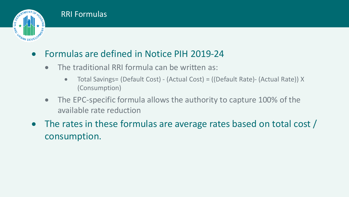



- The traditional RRI formula can be written as:
	- Total Savings= (Default Cost) (Actual Cost) = ((Default Rate)- (Actual Rate)) X (Consumption)
- The EPC-specific formula allows the authority to capture 100% of the available rate reduction
- The rates in these formulas are average rates based on total cost / consumption.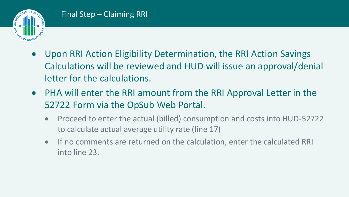

- Upon RRI Action Eligibility Determination, the RRI Action Savings Calculations will be reviewed and HUD will issue an approval/denial letter for the calculations.
- PHA will enter the RRI amount from the RRI Approval Letter in the 52722 Form via the OpSub Web Portal.
	- Proceed to enter the actual (billed) consumption and costs into HUD-52722 to calculate actual average utility rate (line 17)
	- If no comments are returned on the calculation, enter the calculated RRI into line 23.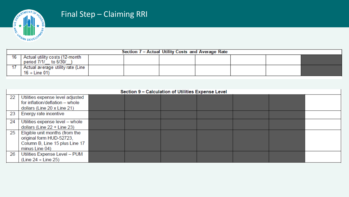

### Final Step – Claiming RRI

| Section 7 - Actual Utility Costs and Average Rate |                                                           |  |  |  |  |  |  |  |  |  |  |
|---------------------------------------------------|-----------------------------------------------------------|--|--|--|--|--|--|--|--|--|--|
| 16                                                | Actual utility costs (12-month<br>to 6/30/<br>period 7/1/ |  |  |  |  |  |  |  |  |  |  |
|                                                   | Actual average utility rate (Line<br>16 ÷ Line 01)        |  |  |  |  |  |  |  |  |  |  |

|    | Section 9 - Calculation of Utilities Expense Level                                                             |  |  |  |  |  |  |  |  |  |  |  |  |  |
|----|----------------------------------------------------------------------------------------------------------------|--|--|--|--|--|--|--|--|--|--|--|--|--|
| 22 | Utilities expense level adjusted<br>for inflation/deflation - whole<br>dollars (Line 20 x Line 21)             |  |  |  |  |  |  |  |  |  |  |  |  |  |
| 23 | Energy rate incentive                                                                                          |  |  |  |  |  |  |  |  |  |  |  |  |  |
| 24 | Utilities expense level - whole<br>dollars (Line $22 +$ Line $23$ )                                            |  |  |  |  |  |  |  |  |  |  |  |  |  |
| 25 | Eligible unit months (from the<br>original form HUD-52723,<br>Column B, Line 15 plus Line 17<br>minus Line 04) |  |  |  |  |  |  |  |  |  |  |  |  |  |
| 26 | Utilities Expense Level - PUM<br>(Line $24 \div$ Line 25)                                                      |  |  |  |  |  |  |  |  |  |  |  |  |  |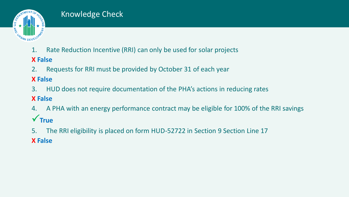

### Knowledge Check

1. Rate Reduction Incentive (RRI) can only be used for solar projects

### **X False**

2. Requests for RRI must be provided by October 31 of each year

### **X False**

3. HUD does not require documentation of the PHA's actions in reducing rates

### **X False**

- 4. A PHA with an energy performance contract may be eligible for 100% of the RRI savings **√** True
- 5. The RRI eligibility is placed on form HUD-52722 in Section 9 Section Line 17 **X False**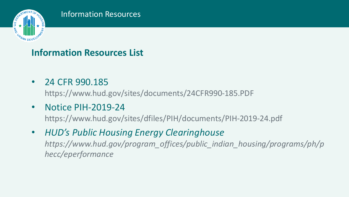

# **Information Resources List**

• 24 CFR 990.185

https://www.hud.gov/sites/documents/24CFR990-185.PDF

• Notice PIH-2019-24

https://www.hud.gov/sites/dfiles/PIH/documents/PIH-2019-24.pdf

• *HUD's Public Housing Energy Clearinghouse https://www.hud.gov/program\_offices/public\_indian\_housing/programs/ph/p hecc/eperformance*